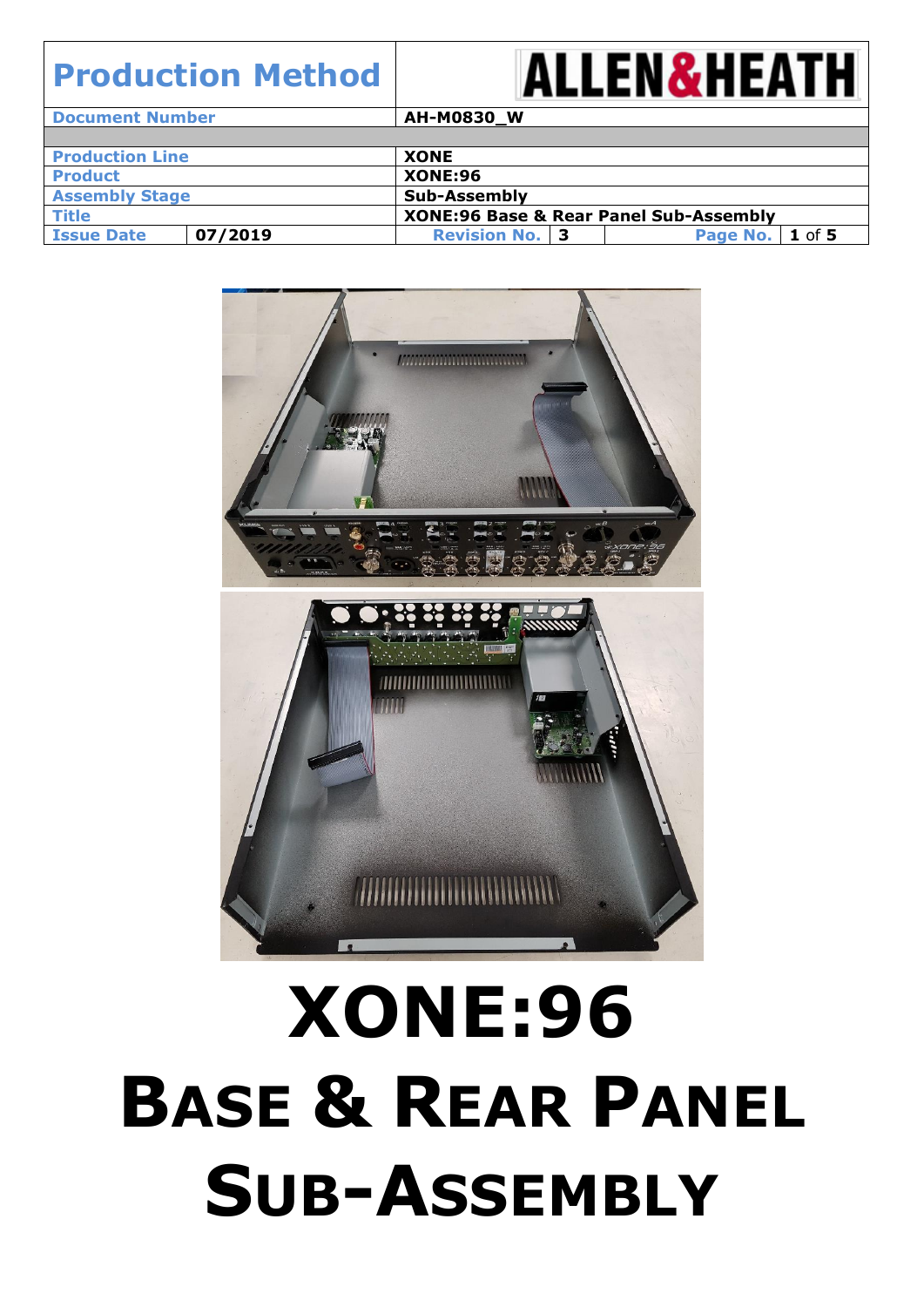#### **ALLEN&HEATH Production Method Document Number AH-M0830 W Production Line**  XONE **Product XONE:96 Assembly Stage Sub-Assembly Title XONE:96 Base & Rear Panel Sub-Assembly Issue Date 07/2019 Revision No. 3 Page No. 1** of **5**



# **XONE:96 BASE & REAR PANEL SUB-ASSEMBLY**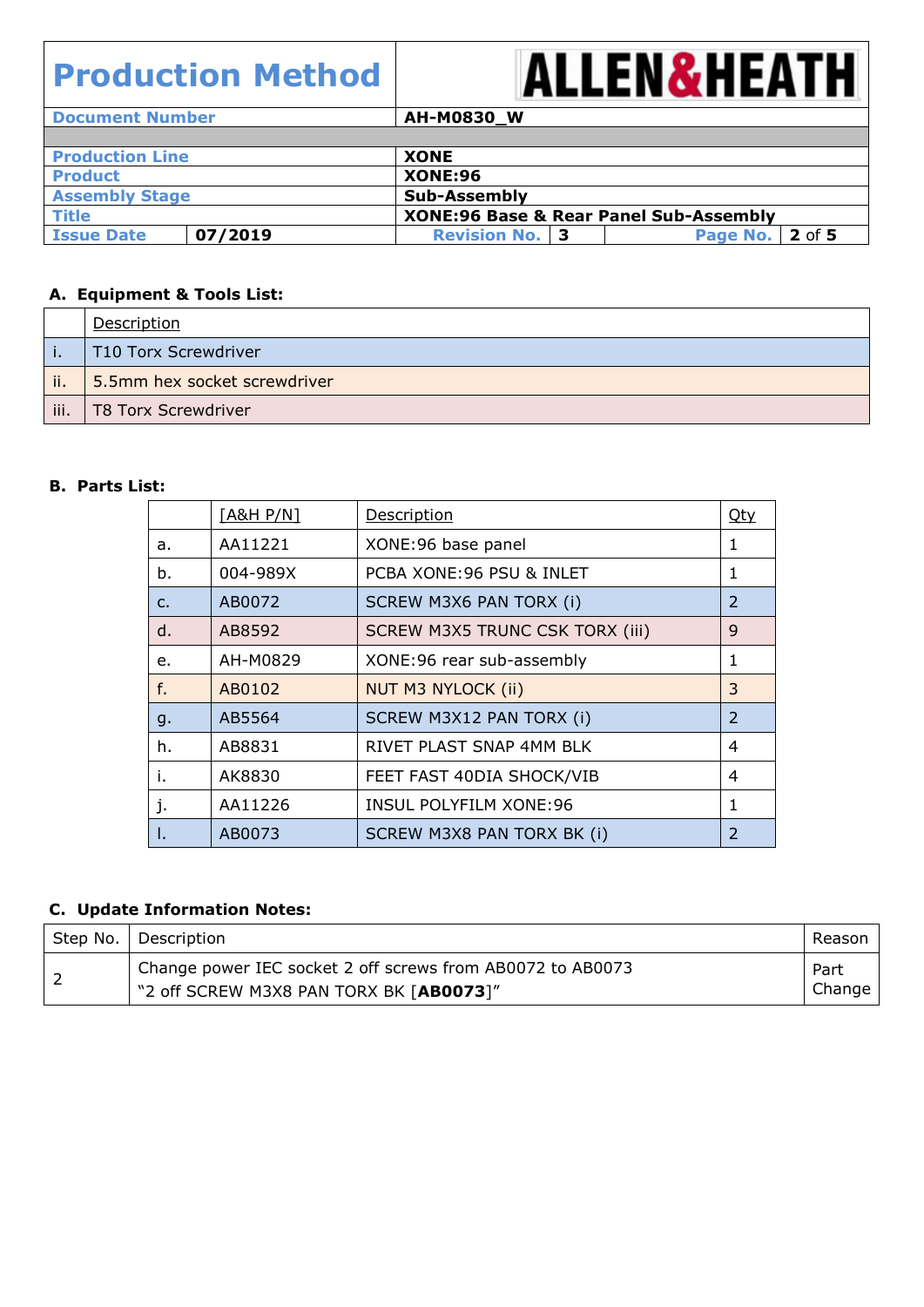

| <b>Document Number</b> |         | AH-M0830_W                                        |                    |
|------------------------|---------|---------------------------------------------------|--------------------|
|                        |         |                                                   |                    |
| <b>Production Line</b> |         | <b>XONE</b>                                       |                    |
| <b>Product</b>         |         | <b>XONE:96</b>                                    |                    |
| <b>Assembly Stage</b>  |         | Sub-Assembly                                      |                    |
| <b>Title</b>           |         | <b>XONE:96 Base &amp; Rear Panel Sub-Assembly</b> |                    |
| <b>Issue Date</b>      | 07/2019 | <b>Revision No. 3</b>                             | 2 of 5<br>Page No. |

#### **A. Equipment & Tools List:**

|      | Description                  |
|------|------------------------------|
|      | T10 Torx Screwdriver         |
| ji.  | 5.5mm hex socket screwdriver |
| iii. | T8 Torx Screwdriver          |

#### **B. Parts List:**

|                | [A&H P/N] | <b>Description</b>                     | <u>Qty</u>     |
|----------------|-----------|----------------------------------------|----------------|
| a.             | AA11221   | XONE:96 base panel                     | 1              |
| b.             | 004-989X  | PCBA XONE: 96 PSU & INLET              | 1              |
| $\mathsf{C}$ . | AB0072    | SCREW M3X6 PAN TORX (i)                | $\overline{2}$ |
| d.             | AB8592    | <b>SCREW M3X5 TRUNC CSK TORX (iii)</b> | 9              |
| e.             | AH-M0829  | XONE:96 rear sub-assembly              | 1              |
| f.             | AB0102    | <b>NUT M3 NYLOCK (ii)</b>              | 3              |
| g.             | AB5564    | SCREW M3X12 PAN TORX (i)               | $\overline{2}$ |
| h.             | AB8831    | RIVET PLAST SNAP 4MM BLK               | 4              |
| i.             | AK8830    | FEET FAST 40DIA SHOCK/VIB              | 4              |
| J.             | AA11226   | <b>INSUL POLYFILM XONE:96</b>          | 1              |
| Ι.             | AB0073    | SCREW M3X8 PAN TORX BK (i)             | 2              |

#### **C. Update Information Notes:**

| Step No.   Description                                                                                             | Reason         |
|--------------------------------------------------------------------------------------------------------------------|----------------|
| <sup>1</sup> Change power IEC socket 2 off screws from AB0072 to AB0073<br>"2 off SCREW M3X8 PAN TORX BK [AB0073]" | Part<br>Change |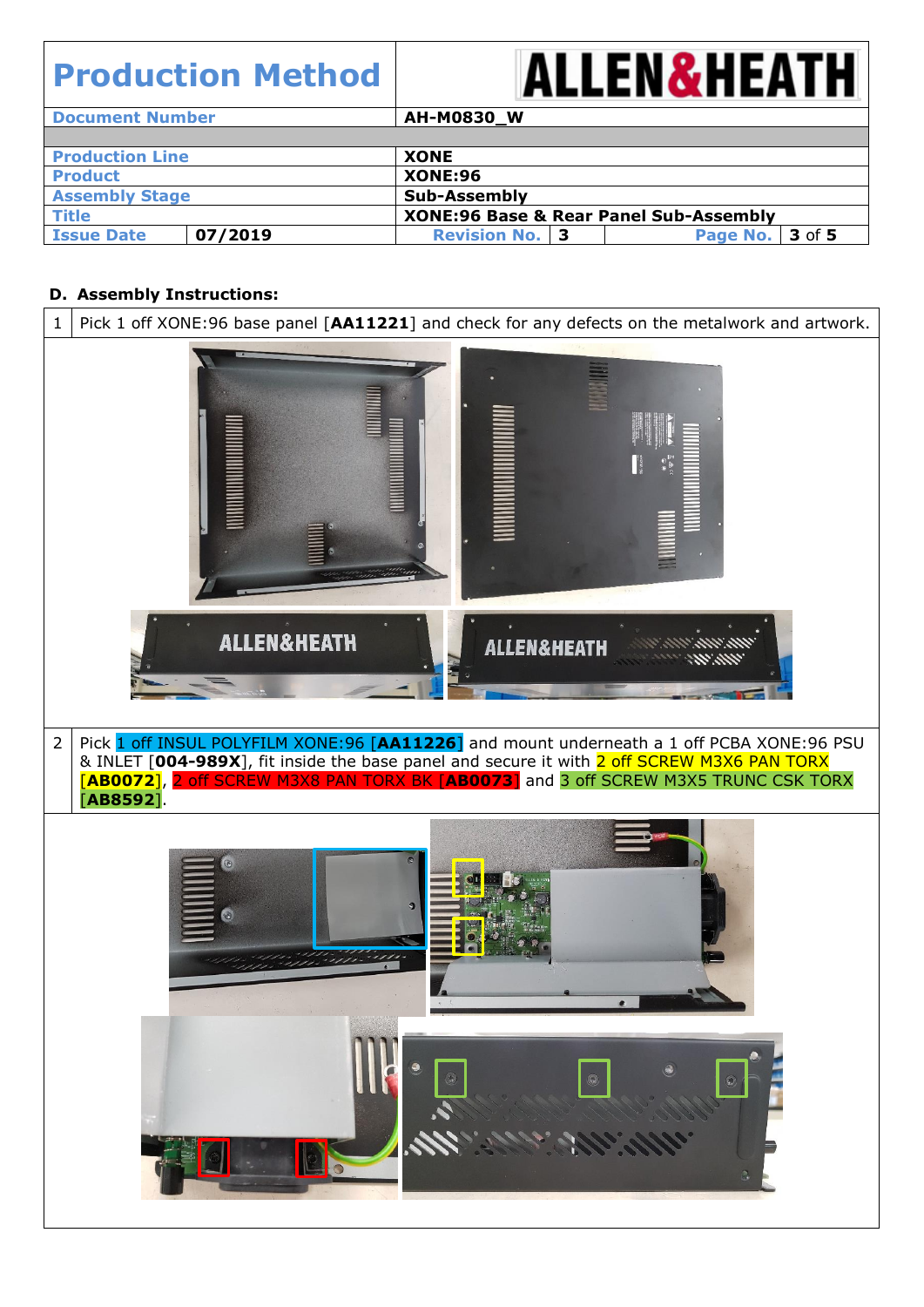

| <b>Document Number</b> |         | AH-M0830_W                                        |                        |
|------------------------|---------|---------------------------------------------------|------------------------|
|                        |         |                                                   |                        |
| <b>Production Line</b> |         | <b>XONE</b>                                       |                        |
| <b>Product</b>         |         | <b>XONE:96</b>                                    |                        |
| <b>Assembly Stage</b>  |         | <b>Sub-Assembly</b>                               |                        |
| <b>Title</b>           |         | <b>XONE:96 Base &amp; Rear Panel Sub-Assembly</b> |                        |
| <b>Issue Date</b>      | 07/2019 | <b>Revision No. 3</b>                             | <b>Page No. 3 of 5</b> |

#### **D. Assembly Instructions:**

| 1              | Pick 1 off XONE:96 base panel [AA11221] and check for any defects on the metalwork and artwork.                                                                                                                                                                                               |
|----------------|-----------------------------------------------------------------------------------------------------------------------------------------------------------------------------------------------------------------------------------------------------------------------------------------------|
|                |                                                                                                                                                                                                                                                                                               |
|                | <b>ALLEN&amp;HEATH</b><br><b>ALLEN&amp;HEATH</b>                                                                                                                                                                                                                                              |
| $\overline{2}$ | Pick 1 off INSUL POLYFILM XONE:96 [AA11226] and mount underneath a 1 off PCBA XONE:96 PSU<br>& INLET [004-989X], fit inside the base panel and secure it with 2 off SCREW M3X6 PAN TORX<br>[AB0072], 2 off SCREW M3X8 PAN TORX BK [AB0073] and 3 off SCREW M3X5 TRUNC CSK TORX<br>$[AB8592].$ |
|                |                                                                                                                                                                                                                                                                                               |
|                | $\mathbb{C}$<br>L                                                                                                                                                                                                                                                                             |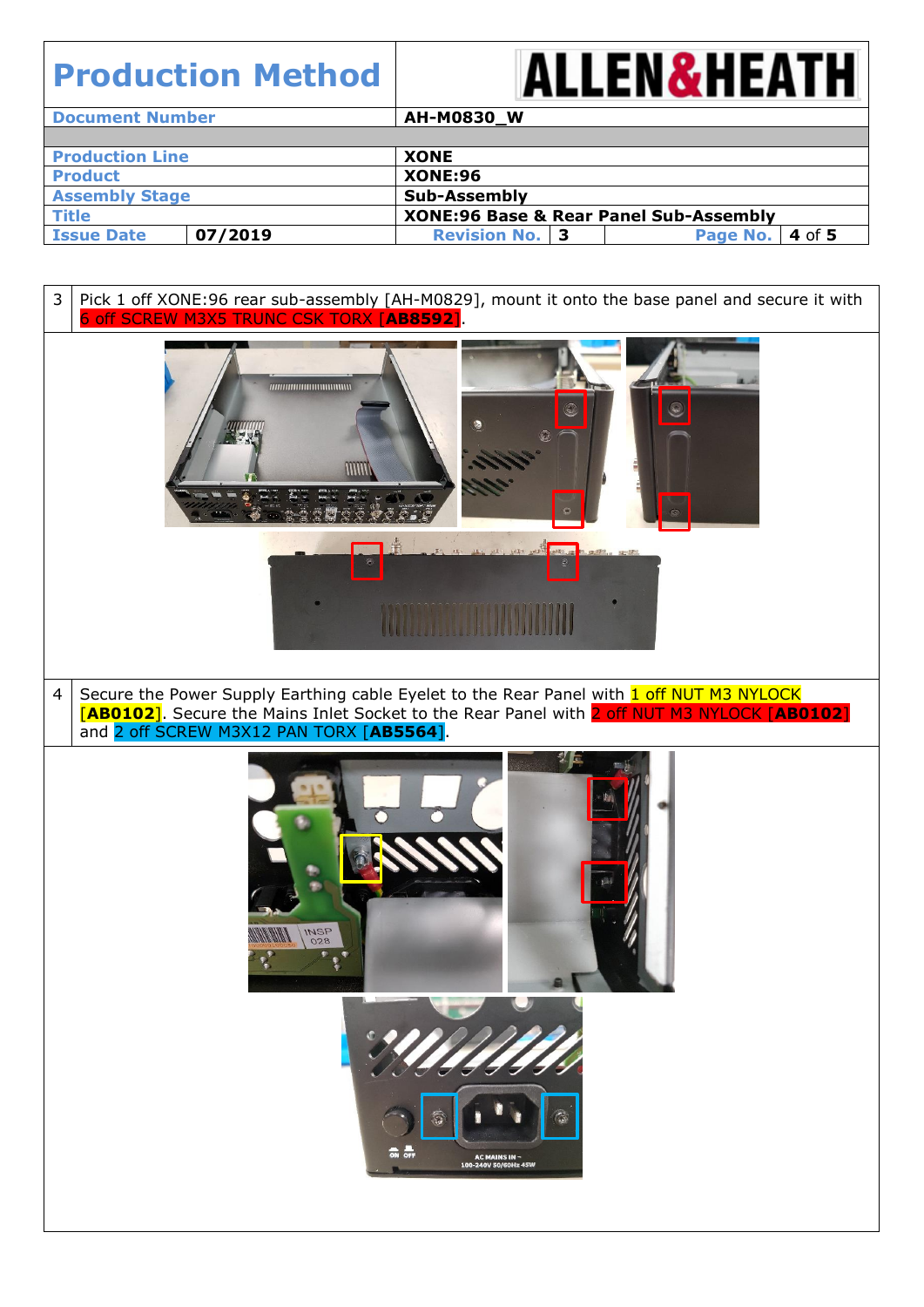

| <b>Document Number</b> |         | <b>AH-M0830_W</b>     |  |                                                   |        |  |
|------------------------|---------|-----------------------|--|---------------------------------------------------|--------|--|
|                        |         |                       |  |                                                   |        |  |
| <b>Production Line</b> |         | <b>XONE</b>           |  |                                                   |        |  |
| <b>Product</b>         |         | <b>XONE:96</b>        |  |                                                   |        |  |
| <b>Assembly Stage</b>  |         | Sub-Assembly          |  |                                                   |        |  |
| <b>Title</b>           |         |                       |  | <b>XONE:96 Base &amp; Rear Panel Sub-Assembly</b> |        |  |
| <b>Issue Date</b>      | 07/2019 | <b>Revision No. 3</b> |  | Page No.                                          | 4 of 5 |  |